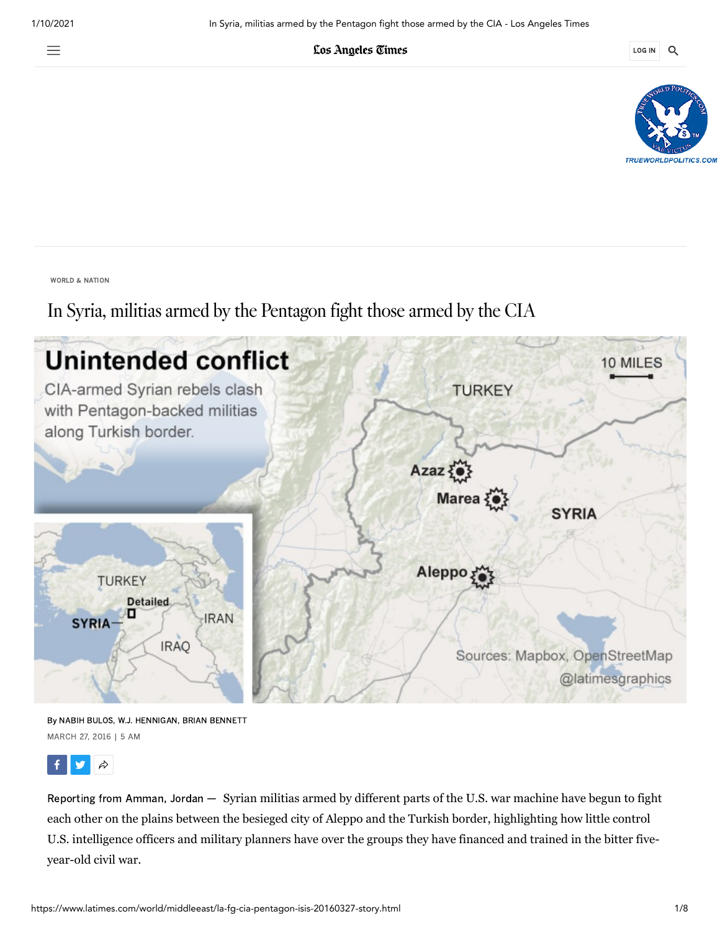亖

Los Angeles Times

LOG IN Q



WORLD & [NATION](https://www.latimes.com/world-nation)

In Syria, militias armed by the Pentagon fight those armed by the CIA



By NABIH BULOS, W.J. HENNIGAN, BRIAN BENNETT MARCH 27, 2016 | 5 AM



Reporting from Amman, Jordan — Syrian militias armed by different parts of the U.S. war machine have begun to fight each other on the plains between the besieged city of Aleppo and the Turkish border, highlighting how little control U.S. intelligence officers and military planners have over the groups they have financed and trained in the bitter fiveyear-old civil war.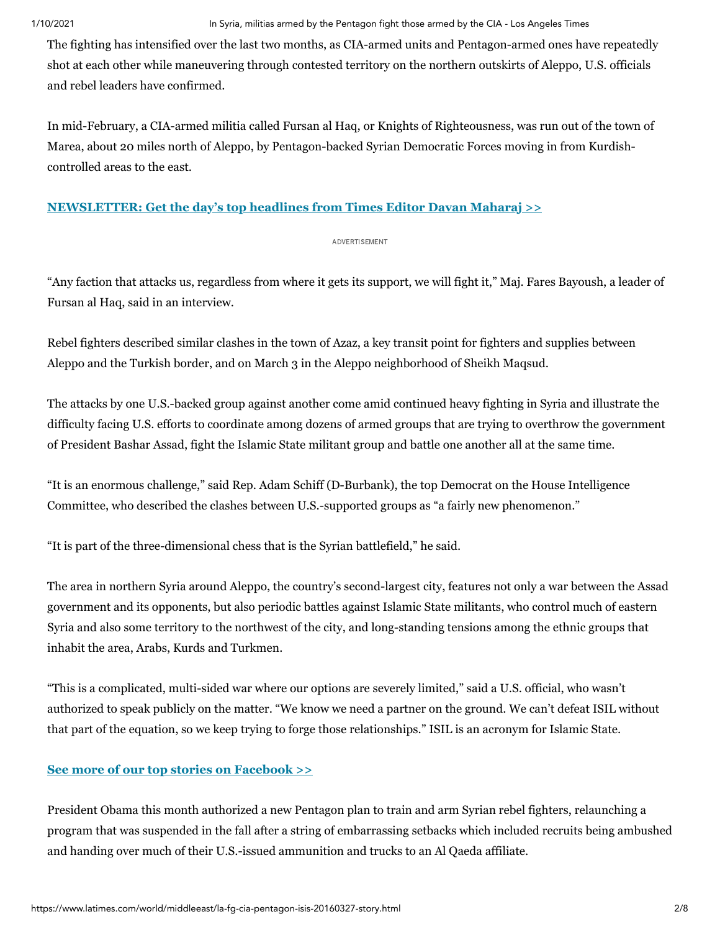The fighting has intensified over the last two months, as CIA-armed units and Pentagon-armed ones have repeatedly shot at each other while maneuvering through contested territory on the northern outskirts of Aleppo, U.S. officials and rebel leaders have confirmed.

In mid-February, a CIA-armed militia called Fursan al Haq, or Knights of Righteousness, was run out of the town of Marea, about 20 miles north of Aleppo, by Pentagon-backed Syrian Democratic Forces moving in from Kurdishcontrolled areas to the east.

# **[NEWSLETTER: Get the day's top headlines from Times Editor Davan Maharaj >>](https://www.latimes.com/newsletters/la-newsletter-todays-headlines-signup-page-htmlstory.html)**

## ADVERTISEMENT

"Any faction that attacks us, regardless from where it gets its support, we will fight it," Maj. Fares Bayoush, a leader of Fursan al Haq, said in an interview.

Rebel fighters described similar clashes in the town of Azaz, a key transit point for fighters and supplies between Aleppo and the Turkish border, and on March 3 in the Aleppo neighborhood of Sheikh Maqsud.

The attacks by one U.S.-backed group against another come amid continued heavy fighting in Syria and illustrate the difficulty facing U.S. efforts to coordinate among dozens of armed groups that are trying to overthrow the government of President Bashar Assad, fight the Islamic State militant group and battle one another all at the same time.

"It is an enormous challenge," said Rep. Adam Schiff (D-Burbank), the top Democrat on the House Intelligence Committee, who described the clashes between U.S.-supported groups as "a fairly new phenomenon."

"It is part of the three-dimensional chess that is the Syrian battlefield," he said.

The area in northern Syria around Aleppo, the country's second-largest city, features not only a war between the Assad government and its opponents, but also periodic battles against Islamic State militants, who control much of eastern Syria and also some territory to the northwest of the city, and long-standing tensions among the ethnic groups that inhabit the area, Arabs, Kurds and Turkmen.

"This is a complicated, multi-sided war where our options are severely limited," said a U.S. official, who wasn't authorized to speak publicly on the matter. "We know we need a partner on the ground. We can't defeat ISIL without that part of the equation, so we keep trying to forge those relationships." ISIL is an acronym for Islamic State.

# **[See more of our top stories on Facebook >>](https://www.facebook.com/latimes)**

President Obama this month authorized a new Pentagon plan to train and arm Syrian rebel fighters, relaunching a program that was suspended in the fall after a string of embarrassing setbacks which included recruits being ambushed and handing over much of their U.S.-issued ammunition and trucks to an Al Qaeda affiliate.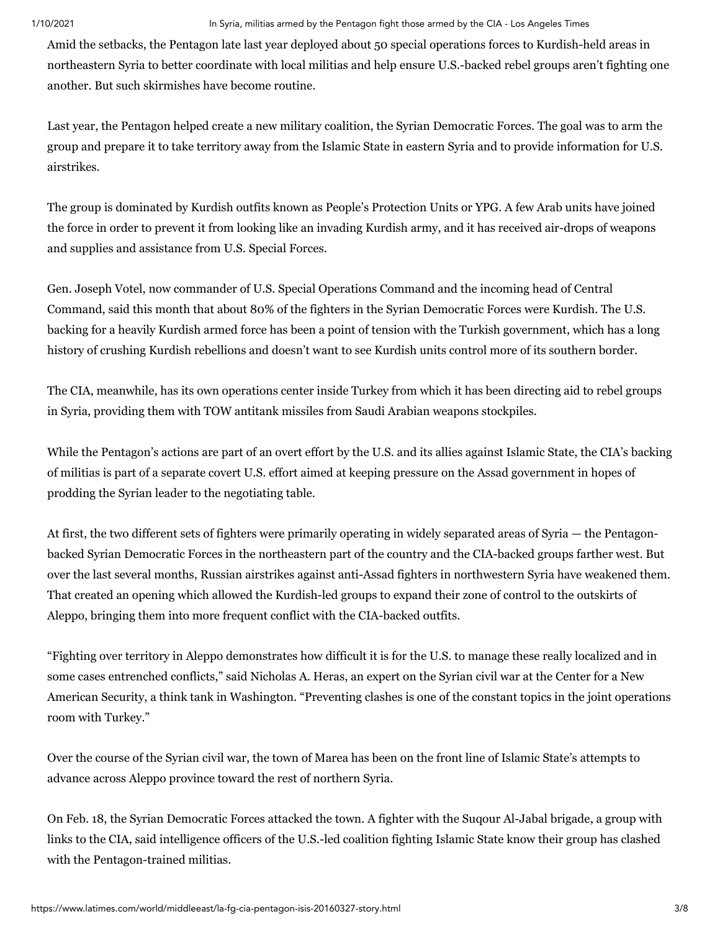Amid the setbacks, the Pentagon late last year deployed about 50 special operations forces to Kurdish-held areas in northeastern Syria to better coordinate with local militias and help ensure U.S.-backed rebel groups aren't fighting one another. But such skirmishes have become routine.

Last year, the Pentagon helped create a new military coalition, the Syrian Democratic Forces. The goal was to arm the group and prepare it to take territory away from the Islamic State in eastern Syria and to provide information for U.S. airstrikes.

The group is dominated by Kurdish outfits known as People's Protection Units or YPG. A few Arab units have joined the force in order to prevent it from looking like an invading Kurdish army, and it has received air-drops of weapons and supplies and assistance from U.S. Special Forces.

Gen. Joseph Votel, now commander of U.S. Special Operations Command and the incoming head of Central Command, said this month that about 80% of the fighters in the Syrian Democratic Forces were Kurdish. The U.S. backing for a heavily Kurdish armed force has been a point of tension with the Turkish government, which has a long history of crushing Kurdish rebellions and doesn't want to see Kurdish units control more of its southern border.

The CIA, meanwhile, has its own operations center inside Turkey from which it has been directing aid to rebel groups in Syria, providing them with TOW antitank missiles from Saudi Arabian weapons stockpiles.

While the Pentagon's actions are part of an overt effort by the U.S. and its allies against Islamic State, the CIA's backing of militias is part of a separate covert U.S. effort aimed at keeping pressure on the Assad government in hopes of prodding the Syrian leader to the negotiating table.

At first, the two different sets of fighters were primarily operating in widely separated areas of Syria — the Pentagonbacked Syrian Democratic Forces in the northeastern part of the country and the CIA-backed groups farther west. But over the last several months, Russian airstrikes against anti-Assad fighters in northwestern Syria have weakened them. That created an opening which allowed the Kurdish-led groups to expand their zone of control to the outskirts of Aleppo, bringing them into more frequent conflict with the CIA-backed outfits.

"Fighting over territory in Aleppo demonstrates how difficult it is for the U.S. to manage these really localized and in some cases entrenched conflicts," said Nicholas A. Heras, an expert on the Syrian civil war at the Center for a New American Security, a think tank in Washington. "Preventing clashes is one of the constant topics in the joint operations room with Turkey."

Over the course of the Syrian civil war, the town of Marea has been on the front line of Islamic State's attempts to advance across Aleppo province toward the rest of northern Syria.

On Feb. 18, the Syrian Democratic Forces attacked the town. A fighter with the Suqour Al-Jabal brigade, a group with links to the CIA, said intelligence officers of the U.S.-led coalition fighting Islamic State know their group has clashed with the Pentagon-trained militias.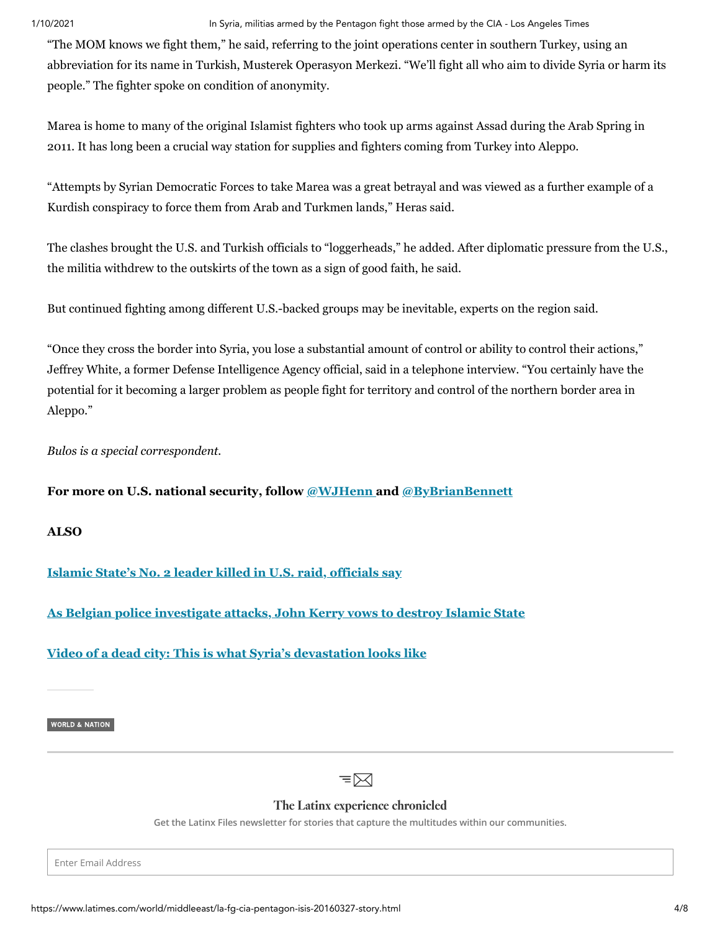## 1/10/2021 **In Syria, militias armed by the Pentagon fight those armed by the CIA - Los Angeles Times**

"The MOM knows we fight them," he said, referring to the joint operations center in southern Turkey, using an abbreviation for its name in Turkish, Musterek Operasyon Merkezi. "We'll fight all who aim to divide Syria or harm its people." The fighter spoke on condition of anonymity.

Marea is home to many of the original Islamist fighters who took up arms against Assad during the Arab Spring in 2011. It has long been a crucial way station for supplies and fighters coming from Turkey into Aleppo.

"Attempts by Syrian Democratic Forces to take Marea was a great betrayal and was viewed as a further example of a Kurdish conspiracy to force them from Arab and Turkmen lands," Heras said.

The clashes brought the U.S. and Turkish officials to "loggerheads," he added. After diplomatic pressure from the U.S., the militia withdrew to the outskirts of the town as a sign of good faith, he said.

But continued fighting among different U.S.-backed groups may be inevitable, experts on the region said.

"Once they cross the border into Syria, you lose a substantial amount of control or ability to control their actions," Jeffrey White, a former Defense Intelligence Agency official, said in a telephone interview. "You certainly have the potential for it becoming a larger problem as people fight for territory and control of the northern border area in Aleppo."

*Bulos is a special correspondent.*

**For more on U.S. national security, follow [@WJHenn a](https://twitter.com/WJHenn)nd [@ByBrianBennett](https://twitter.com/ByBrianBennett)**

**ALSO**

**[Islamic State's No. 2 leader killed in U.S. raid, officials say](https://www.latimes.com/world/middleeast/la-fg-isis-leader-raid-syria-20160325-story.html)**

**[As Belgian police investigate attacks, John Kerry vows to destroy Islamic State](https://www.latimes.com/world/la-fg-brussels-americans-20160325-story.html)**

**[Video of a dead city: This is what Syria's devastation looks like](https://www.latimes.com/world/middleeast/la-fg-syria-homs-video-20160204-story.html)**

WORLD & [NATION](https://www.latimes.com/world-nation)



# The Latinx experience chronicled

**Get the Latinx Files newsletter for stories that capture the multitudes within our communities.**

Enter Email Address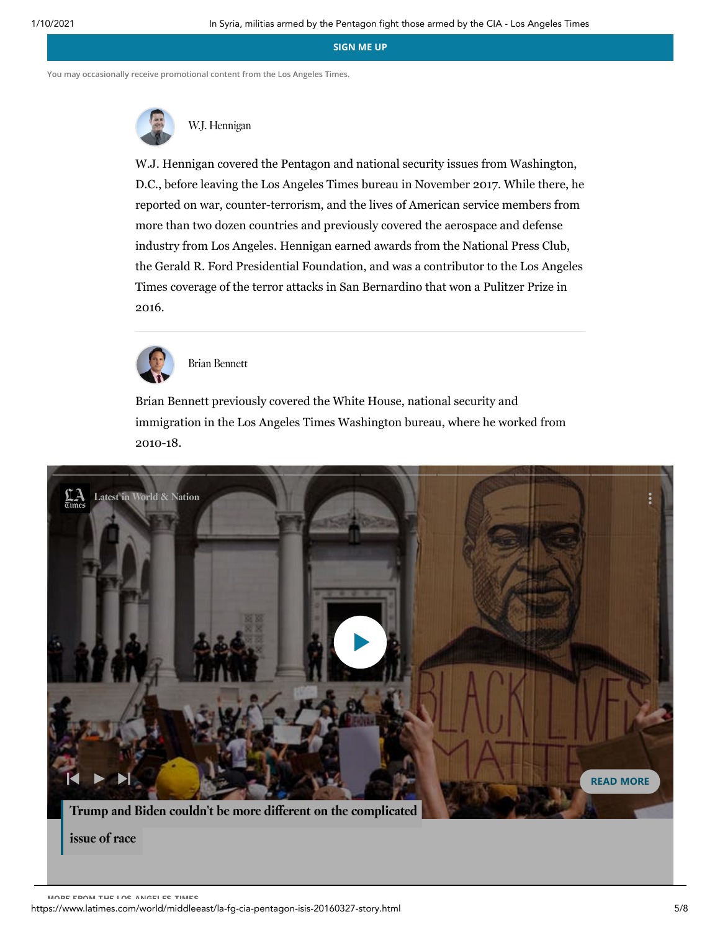**SIGN ME UP**

**You may occasionally receive promotional content from the Los Angeles Times.**



W.J. [Hennigan](https://www.latimes.com/staff/w-j-hennigan)

W.J. Hennigan covered the Pentagon and national security issues from Washington, D.C., before leaving the Los Angeles Times bureau in November 2017. While there, he reported on war, counter-terrorism, and the lives of American service members from more than two dozen countries and previously covered the aerospace and defense industry from Los Angeles. Hennigan earned awards from the National Press Club, the Gerald R. Ford Presidential Foundation, and was a contributor to the Los Angeles Times coverage of the terror attacks in San Bernardino that won a Pulitzer Prize in 2016.



Brian [Bennett](https://www.latimes.com/la-bio-brian-bennett-staff.html)

Brian Bennett previously covered the White House, national security and immigration in the Los Angeles Times Washington bureau, where he worked from 2010-18.



issue of race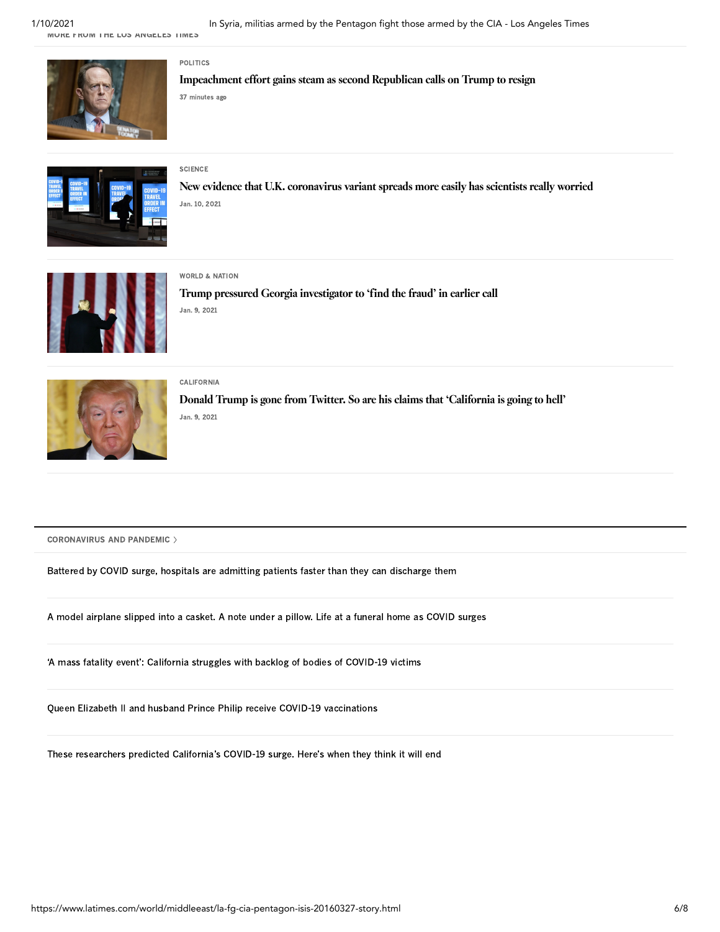MORE FROM THE LOS ANGELES TIMES



[Impeachment](https://www.latimes.com/politics/story/2021-01-10/impeachment-effort-gains-steam-as-second-republican-calls-on-trump-to-resign) effort gains steam as second Republican calls on Trump to resign 37 minutes ago



## **[SCIENCE](https://www.latimes.com/science)**

[POLITICS](https://www.latimes.com/politics)

New evidence that U.K. [coronavirus](https://www.latimes.com/science/story/2021-01-10/new-evidence-that-u-k-coronavirus-variant-spreads-more-easily-has-scientists-really-worried) variant spreads more easily has scientists really worried Jan. 10, 2021



### WORLD & [NATION](https://www.latimes.com/world-nation)

Trump pressured Georgia [investigator](https://www.latimes.com/world-nation/story/2021-01-09/trump-pressured-georgia-to-find-the-fraud-in-earlier-call) to 'find the fraud' in earlier call Jan. 9, 2021



[CALIFORNIA](https://www.latimes.com/california) Donald Trump is gone from Twitter. So are his claims that ['California](https://www.latimes.com/california/story/2021-01-09/donald-trump-twitter-california) is going to hell' Jan. 9, 2021

[CORONAVIRUS](https://www.latimes.com/topic/health) AND PANDEMIC

Battered by COVID surge, hospitals are admitting [patients faster](https://www.latimes.com/california/story/2021-01-10/coronavirus-la-county-hospitals-patient-discharge) than they can discharge them

A model airplane slipped into a casket. A note under a pillow. Life at a funeral home [as COVID](https://www.latimes.com/california/story/2021-01-09/funeral-homes-covid-surge) surges

'A mass fatality event': California [struggles with](https://www.latimes.com/california/story/2021-01-09/with-hospital-morgues-overwhelmed-by-bodies-coroner-begins-storing-bodies-as-covid-deaths-surge) backlog of bodies of COVID-19 victims

Queen Elizabeth II and husband Prince Philip receive COVID-19 [vaccinations](https://www.latimes.com/world-nation/story/2021-01-09/queen-elizabeth-ii-and-husband-receive-covid-19-vaccinations)

These [researchers predicted](https://www.latimes.com/science/story/2021-01-08/when-will-covid-surge-be-over-heres-what-to-watch-for) California's COVID-19 surge. Here's when they think it will end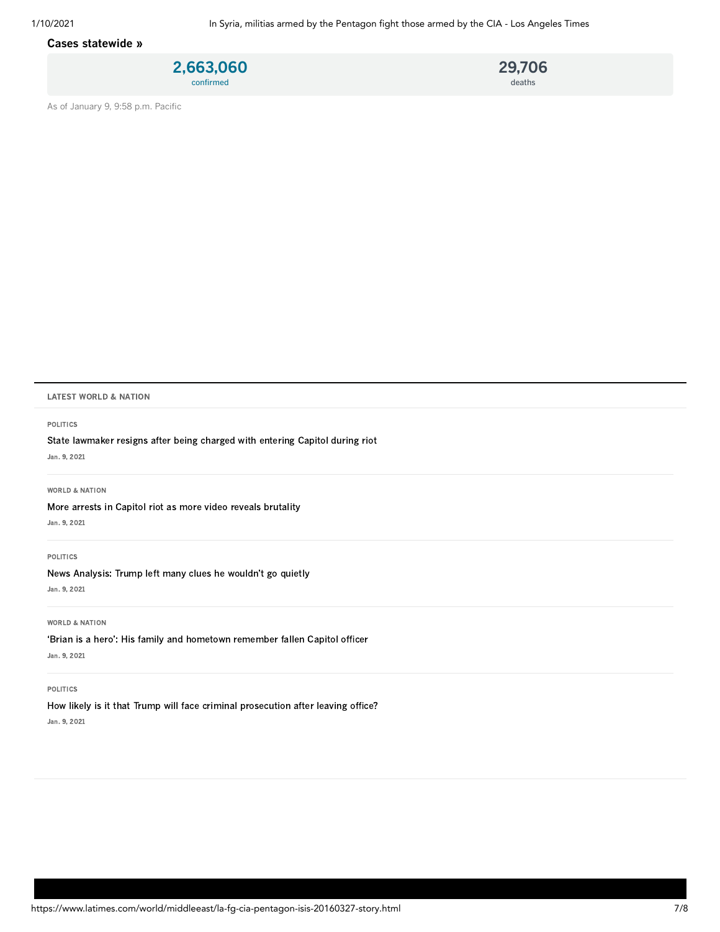## [Cases statewide](https://www.latimes.com/projects/california-coronavirus-cases-tracking-outbreak/) »





As of January 9, 9:58 p.m. Pacific

#### LATEST WORLD & NATION

#### [POLITICS](https://www.latimes.com/politics)

State lawmaker [resigns after](https://www.latimes.com/world-nation/story/2021-01-09/state-lawmaker-charged-after-entering-capitol-with-rioters) being charged with entering Capitol during riot

Jan. 9, 2021

#### WORLD & [NATION](https://www.latimes.com/world-nation)

More arrests in Capitol riot as more video [reveals brutality](https://www.latimes.com/world-nation/story/2021-01-09/man-accused-of-stealing-pelosis-lectern-charged-in-invasion)

Jan. 9, 2021

### [POLITICS](https://www.latimes.com/politics)

[News Analysis:](https://www.latimes.com/world-nation/story/2021-01-09/no-surprise-trump-left-many-clues-he-wouldnt-go-quietly) Trump left many clues he wouldn't go quietly

Jan. 9, 2021

#### WORLD & [NATION](https://www.latimes.com/world-nation)

'Brian is a hero': His family and [hometown](https://www.latimes.com/world-nation/story/2021-01-09/brian-did-his-job-family-remembers-fallen-capitol-officer) remember fallen Capitol officer Jan. 9, 2021

#### [POLITICS](https://www.latimes.com/politics)

How likely is it that Trump will face criminal [prosecution](https://www.latimes.com/politics/story/2021-01-09/trump-criminal-prosecution-after-leaving-office) after leaving office? Jan. 9, 2021